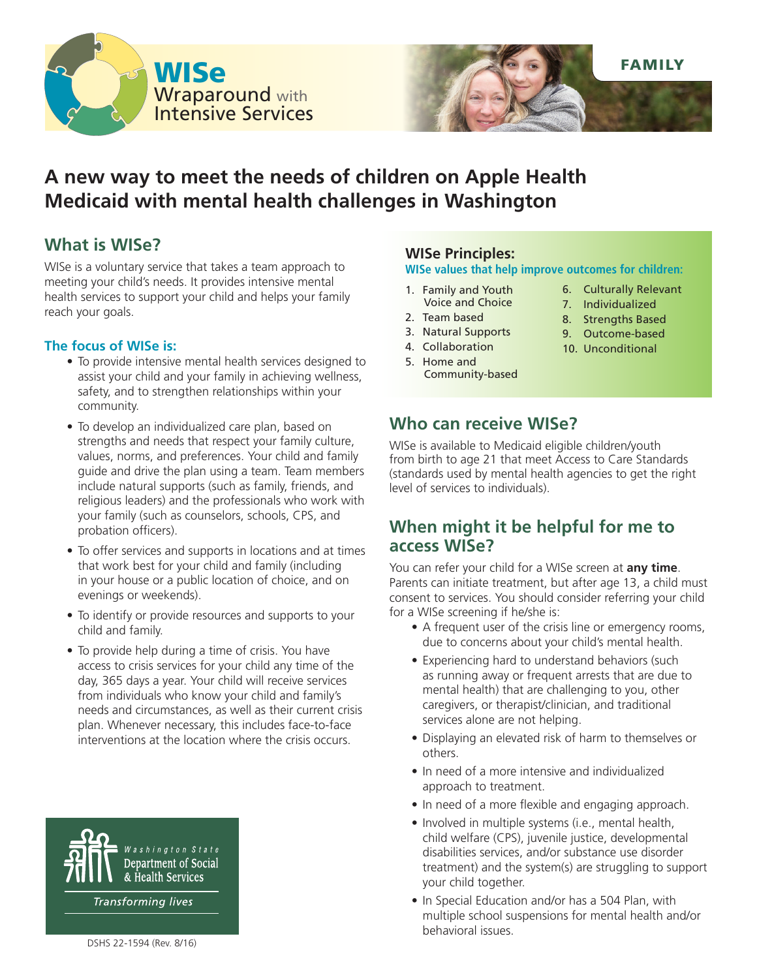



# **A new way to meet the needs of children on Apple Health Medicaid with mental health challenges in Washington**

# **What is WISe?**

WISe is a voluntary service that takes a team approach to meeting your child's needs. It provides intensive mental health services to support your child and helps your family reach your goals.

### **The focus of WISe is:**

- To provide intensive mental health services designed to assist your child and your family in achieving wellness, safety, and to strengthen relationships within your community.
- To develop an individualized care plan, based on strengths and needs that respect your family culture, values, norms, and preferences. Your child and family guide and drive the plan using a team. Team members include natural supports (such as family, friends, and religious leaders) and the professionals who work with your family (such as counselors, schools, CPS, and probation officers).
- To offer services and supports in locations and at times that work best for your child and family (including in your house or a public location of choice, and on evenings or weekends).
- To identify or provide resources and supports to your child and family.
- To provide help during a time of crisis. You have access to crisis services for your child any time of the day, 365 days a year. Your child will receive services from individuals who know your child and family's needs and circumstances, as well as their current crisis plan. Whenever necessary, this includes face-to-face interventions at the location where the crisis occurs.



# **WISe Principles:**

#### **WISe values that help improve outcomes for children:**

- 1. Family and Youth Voice and Choice
- 2. Team based
- 3. Natural Supports
- 4. Collaboration
- 5. Home and Community-based
- 6. Culturally Relevant
- 7. Individualized
- 8. Strengths Based
- 9. Outcome-based
- 10. Unconditional

# **Who can receive WISe?**

WISe is available to Medicaid eligible children/youth from birth to age 21 that meet Access to Care Standards (standards used by mental health agencies to get the right level of services to individuals).

### **When might it be helpful for me to access WISe?**

You can refer your child for a WISe screen at **any time**. Parents can initiate treatment, but after age 13, a child must consent to services. You should consider referring your child for a WISe screening if he/she is:

- A frequent user of the crisis line or emergency rooms, due to concerns about your child's mental health.
- Experiencing hard to understand behaviors (such as running away or frequent arrests that are due to mental health) that are challenging to you, other caregivers, or therapist/clinician, and traditional services alone are not helping.
- Displaying an elevated risk of harm to themselves or others.
- In need of a more intensive and individualized approach to treatment.
- In need of a more flexible and engaging approach.
- Involved in multiple systems (i.e., mental health, child welfare (CPS), juvenile justice, developmental disabilities services, and/or substance use disorder treatment) and the system(s) are struggling to support your child together.
- In Special Education and/or has a 504 Plan, with multiple school suspensions for mental health and/or behavioral issues.